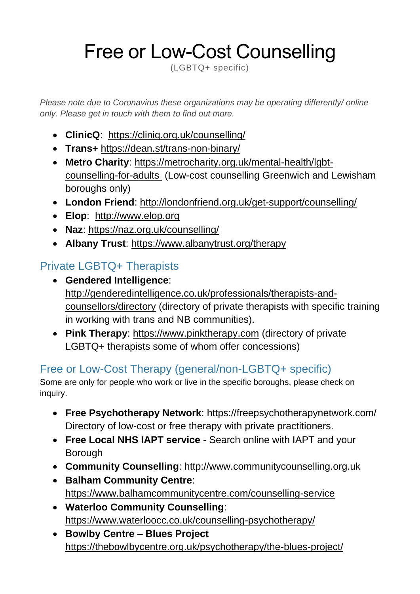## Free or Low-Cost Counselling

(LGBTQ+ specific)

*Please note due to Coronavirus these organizations may be operating differently/ online only. Please get in touch with them to find out more.*

- **ClinicQ**: <https://cliniq.org.uk/counselling/>
- **Trans+** <https://dean.st/trans-non-binary/>
- **Metro Charity**: [https://metrocharity.org.uk/mental-health/lgbt](https://metrocharity.org.uk/mental-health/lgbt-counselling-for-adults)[counselling-for-adults](https://metrocharity.org.uk/mental-health/lgbt-counselling-for-adults) (Low-cost counselling Greenwich and Lewisham boroughs only)
- **London Friend**: <http://londonfriend.org.uk/get-support/counselling/>
- **Elop**: [http://www.elop.org](http://www.elop.org/)
- **Naz**:<https://naz.org.uk/counselling/>
- **Albany Trust**:<https://www.albanytrust.org/therapy>

## Private LGBTQ+ Therapists

- **Gendered Intelligence**: [http://genderedintelligence.co.uk/professionals/therapists-and](http://genderedintelligence.co.uk/professionals/therapists-and-counsellors/directory)[counsellors/directory](http://genderedintelligence.co.uk/professionals/therapists-and-counsellors/directory) (directory of private therapists with specific training in working with trans and NB communities).
- **Pink Therapy**: [https://www.pinktherapy.com](https://www.pinktherapy.com/) (directory of private LGBTQ+ therapists some of whom offer concessions)

## Free or Low-Cost Therapy (general/non-LGBTQ+ specific)

Some are only for people who work or live in the specific boroughs, please check on inquiry.

- **Free Psychotherapy Network**: https://freepsychotherapynetwork.com/ Directory of low-cost or free therapy with private practitioners.
- **Free Local NHS IAPT service** Search online with IAPT and your Borough
- **Community Counselling**: http://www.communitycounselling.org.uk
- **Balham Community Centre**: <https://www.balhamcommunitycentre.com/counselling-service>
- **Waterloo Community Counselling**: <https://www.waterloocc.co.uk/counselling-psychotherapy/>
- **Bowlby Centre – Blues Project** <https://thebowlbycentre.org.uk/psychotherapy/the-blues-project/>